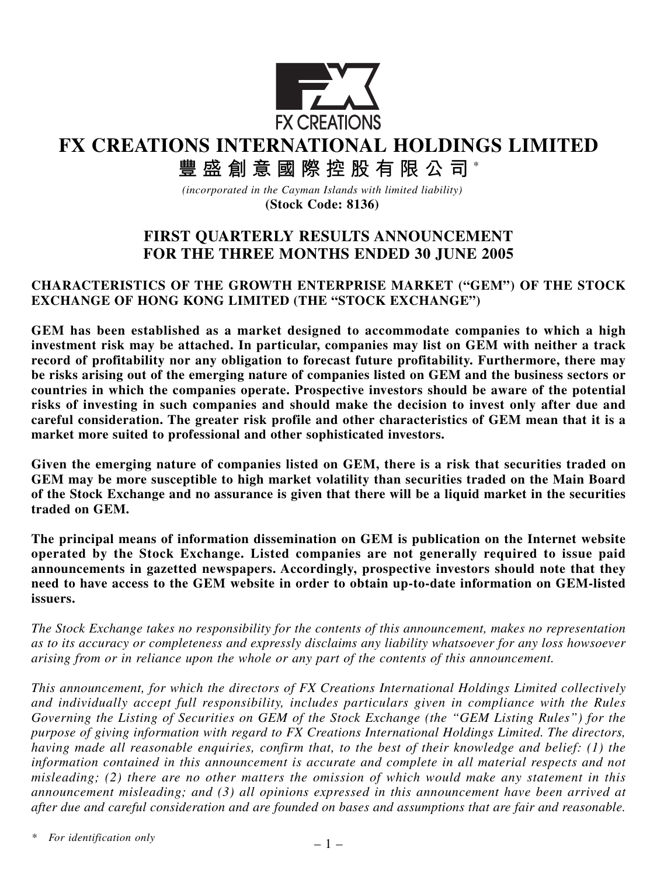

**FX CREATIONS INTERNATIONAL HOLDINGS LIMITED**

**豐盛創意國際控股有限公司** \*

*(incorporated in the Cayman Islands with limited liability)* **(Stock Code: 8136)**

# **FIRST QUARTERLY RESULTS ANNOUNCEMENT FOR THE THREE MONTHS ENDED 30 JUNE 2005**

## **CHARACTERISTICS OF THE GROWTH ENTERPRISE MARKET ("GEM") OF THE STOCK EXCHANGE OF HONG KONG LIMITED (THE "STOCK EXCHANGE")**

**GEM has been established as a market designed to accommodate companies to which a high investment risk may be attached. In particular, companies may list on GEM with neither a track record of profitability nor any obligation to forecast future profitability. Furthermore, there may be risks arising out of the emerging nature of companies listed on GEM and the business sectors or countries in which the companies operate. Prospective investors should be aware of the potential risks of investing in such companies and should make the decision to invest only after due and careful consideration. The greater risk profile and other characteristics of GEM mean that it is a market more suited to professional and other sophisticated investors.**

**Given the emerging nature of companies listed on GEM, there is a risk that securities traded on GEM may be more susceptible to high market volatility than securities traded on the Main Board of the Stock Exchange and no assurance is given that there will be a liquid market in the securities traded on GEM.**

**The principal means of information dissemination on GEM is publication on the Internet website operated by the Stock Exchange. Listed companies are not generally required to issue paid announcements in gazetted newspapers. Accordingly, prospective investors should note that they need to have access to the GEM website in order to obtain up-to-date information on GEM-listed issuers.**

*The Stock Exchange takes no responsibility for the contents of this announcement, makes no representation as to its accuracy or completeness and expressly disclaims any liability whatsoever for any loss howsoever arising from or in reliance upon the whole or any part of the contents of this announcement.*

*This announcement, for which the directors of FX Creations International Holdings Limited collectively and individually accept full responsibility, includes particulars given in compliance with the Rules Governing the Listing of Securities on GEM of the Stock Exchange (the "GEM Listing Rules") for the purpose of giving information with regard to FX Creations International Holdings Limited. The directors, having made all reasonable enquiries, confirm that, to the best of their knowledge and belief: (1) the information contained in this announcement is accurate and complete in all material respects and not misleading; (2) there are no other matters the omission of which would make any statement in this announcement misleading; and (3) all opinions expressed in this announcement have been arrived at after due and careful consideration and are founded on bases and assumptions that are fair and reasonable.*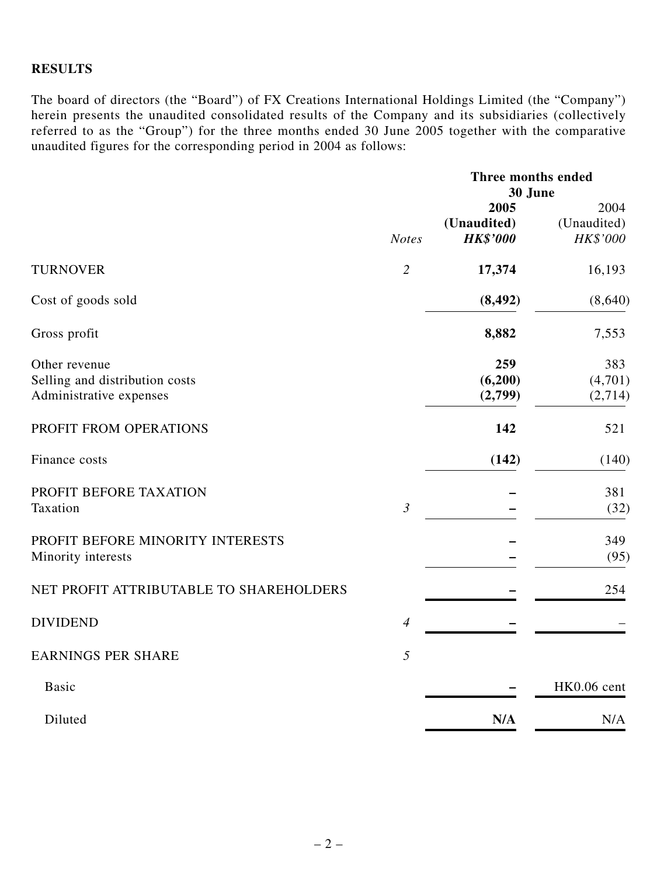## **RESULTS**

The board of directors (the "Board") of FX Creations International Holdings Limited (the "Company") herein presents the unaudited consolidated results of the Company and its subsidiaries (collectively referred to as the "Group") for the three months ended 30 June 2005 together with the comparative unaudited figures for the corresponding period in 2004 as follows:

|                                                                            |                | Three months ended<br>30 June          |                                 |
|----------------------------------------------------------------------------|----------------|----------------------------------------|---------------------------------|
|                                                                            | <b>Notes</b>   | 2005<br>(Unaudited)<br><b>HK\$'000</b> | 2004<br>(Unaudited)<br>HK\$'000 |
| <b>TURNOVER</b>                                                            | $\overline{2}$ | 17,374                                 | 16,193                          |
| Cost of goods sold                                                         |                | (8, 492)                               | (8,640)                         |
| Gross profit                                                               |                | 8,882                                  | 7,553                           |
| Other revenue<br>Selling and distribution costs<br>Administrative expenses |                | 259<br>(6,200)<br>(2,799)              | 383<br>(4,701)<br>(2,714)       |
| PROFIT FROM OPERATIONS                                                     |                | 142                                    | 521                             |
| Finance costs                                                              |                | (142)                                  | (140)                           |
| PROFIT BEFORE TAXATION<br>Taxation                                         | $\mathfrak{Z}$ |                                        | 381<br>(32)                     |
| PROFIT BEFORE MINORITY INTERESTS<br>Minority interests                     |                |                                        | 349<br>(95)                     |
| NET PROFIT ATTRIBUTABLE TO SHAREHOLDERS                                    |                |                                        | 254                             |
| <b>DIVIDEND</b>                                                            | $\overline{4}$ |                                        |                                 |
| <b>EARNINGS PER SHARE</b>                                                  | 5              |                                        |                                 |
| <b>Basic</b>                                                               |                |                                        | HK0.06 cent                     |
| Diluted                                                                    |                | N/A                                    | N/A                             |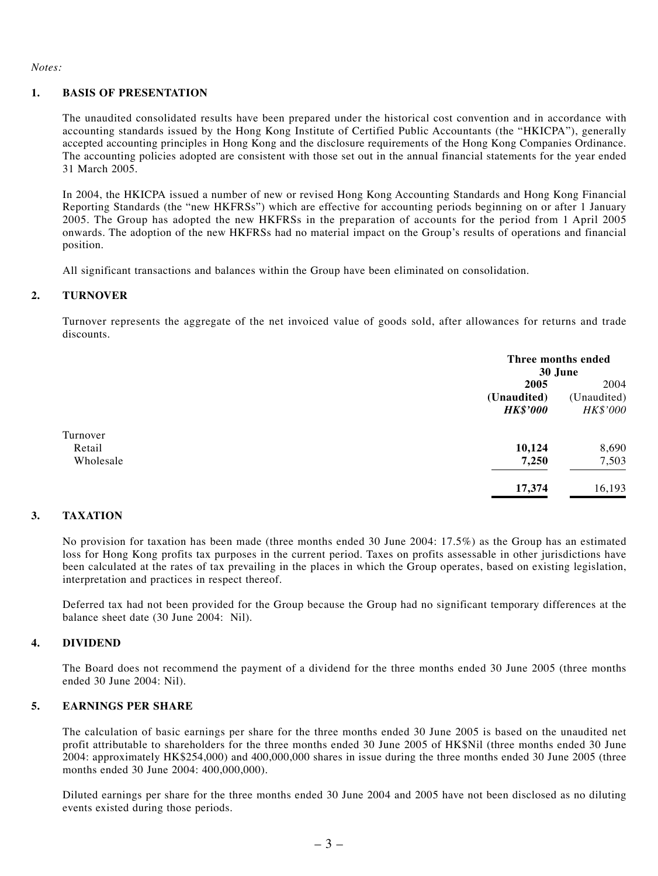*Notes:*

#### **1. BASIS OF PRESENTATION**

The unaudited consolidated results have been prepared under the historical cost convention and in accordance with accounting standards issued by the Hong Kong Institute of Certified Public Accountants (the "HKICPA"), generally accepted accounting principles in Hong Kong and the disclosure requirements of the Hong Kong Companies Ordinance. The accounting policies adopted are consistent with those set out in the annual financial statements for the year ended 31 March 2005.

In 2004, the HKICPA issued a number of new or revised Hong Kong Accounting Standards and Hong Kong Financial Reporting Standards (the "new HKFRSs") which are effective for accounting periods beginning on or after 1 January 2005. The Group has adopted the new HKFRSs in the preparation of accounts for the period from 1 April 2005 onwards. The adoption of the new HKFRSs had no material impact on the Group's results of operations and financial position.

All significant transactions and balances within the Group have been eliminated on consolidation.

#### **2. TURNOVER**

Turnover represents the aggregate of the net invoiced value of goods sold, after allowances for returns and trade discounts.

|           |                 | Three months ended |  |
|-----------|-----------------|--------------------|--|
|           |                 | 30 June            |  |
|           | 2005            | 2004               |  |
|           | (Unaudited)     | (Unaudited)        |  |
|           | <b>HK\$'000</b> | HK\$'000           |  |
| Turnover  |                 |                    |  |
| Retail    | 10,124          | 8,690              |  |
| Wholesale | 7,250           | 7,503              |  |
|           | 17,374          | 16,193             |  |

#### **3. TAXATION**

No provision for taxation has been made (three months ended 30 June 2004: 17.5%) as the Group has an estimated loss for Hong Kong profits tax purposes in the current period. Taxes on profits assessable in other jurisdictions have been calculated at the rates of tax prevailing in the places in which the Group operates, based on existing legislation, interpretation and practices in respect thereof.

Deferred tax had not been provided for the Group because the Group had no significant temporary differences at the balance sheet date (30 June 2004: Nil).

#### **4. DIVIDEND**

The Board does not recommend the payment of a dividend for the three months ended 30 June 2005 (three months ended 30 June 2004: Nil).

#### **5. EARNINGS PER SHARE**

The calculation of basic earnings per share for the three months ended 30 June 2005 is based on the unaudited net profit attributable to shareholders for the three months ended 30 June 2005 of HK\$Nil (three months ended 30 June 2004: approximately HK\$254,000) and 400,000,000 shares in issue during the three months ended 30 June 2005 (three months ended 30 June 2004: 400,000,000).

Diluted earnings per share for the three months ended 30 June 2004 and 2005 have not been disclosed as no diluting events existed during those periods.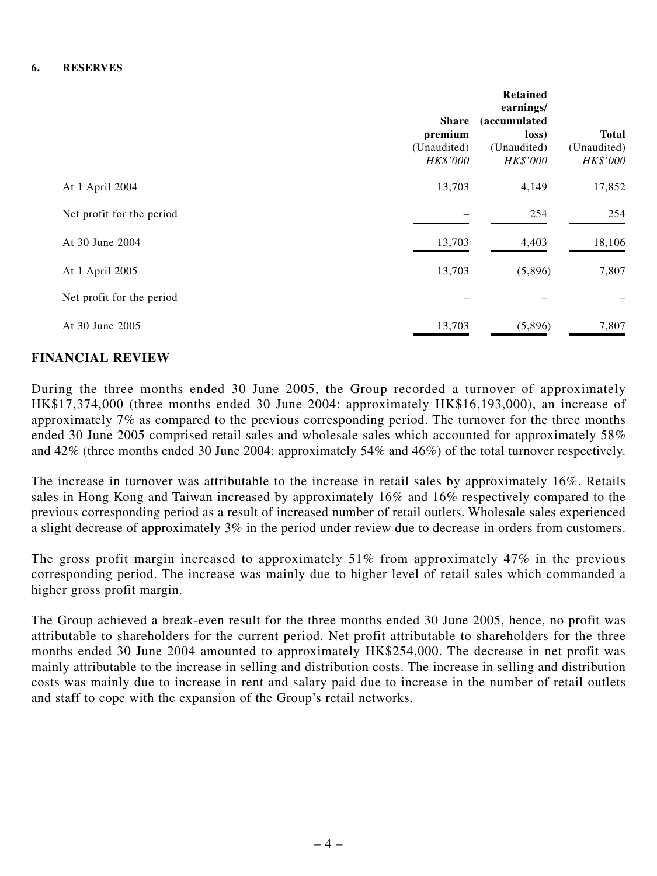|                           | <b>Share</b><br>premium<br>(Unaudited)<br>HK\$'000 | <b>Retained</b><br>earnings/<br><i>(accumulated)</i><br>loss)<br>(Unaudited)<br>HK\$'000 | <b>Total</b><br>(Unaudited)<br>HK\$'000 |
|---------------------------|----------------------------------------------------|------------------------------------------------------------------------------------------|-----------------------------------------|
| At 1 April 2004           | 13,703                                             | 4,149                                                                                    | 17,852                                  |
| Net profit for the period |                                                    | 254                                                                                      | 254                                     |
| At 30 June 2004           | 13,703                                             | 4,403                                                                                    | 18,106                                  |
| At 1 April 2005           | 13,703                                             | (5,896)                                                                                  | 7,807                                   |
| Net profit for the period |                                                    |                                                                                          |                                         |
| At 30 June 2005           | 13,703                                             | (5,896)                                                                                  | 7,807                                   |

## **FINANCIAL REVIEW**

During the three months ended 30 June 2005, the Group recorded a turnover of approximately HK\$17,374,000 (three months ended 30 June 2004: approximately HK\$16,193,000), an increase of approximately 7% as compared to the previous corresponding period. The turnover for the three months ended 30 June 2005 comprised retail sales and wholesale sales which accounted for approximately 58% and 42% (three months ended 30 June 2004: approximately 54% and 46%) of the total turnover respectively.

The increase in turnover was attributable to the increase in retail sales by approximately 16%. Retails sales in Hong Kong and Taiwan increased by approximately 16% and 16% respectively compared to the previous corresponding period as a result of increased number of retail outlets. Wholesale sales experienced a slight decrease of approximately 3% in the period under review due to decrease in orders from customers.

The gross profit margin increased to approximately 51% from approximately 47% in the previous corresponding period. The increase was mainly due to higher level of retail sales which commanded a higher gross profit margin.

The Group achieved a break-even result for the three months ended 30 June 2005, hence, no profit was attributable to shareholders for the current period. Net profit attributable to shareholders for the three months ended 30 June 2004 amounted to approximately HK\$254,000. The decrease in net profit was mainly attributable to the increase in selling and distribution costs. The increase in selling and distribution costs was mainly due to increase in rent and salary paid due to increase in the number of retail outlets and staff to cope with the expansion of the Group's retail networks.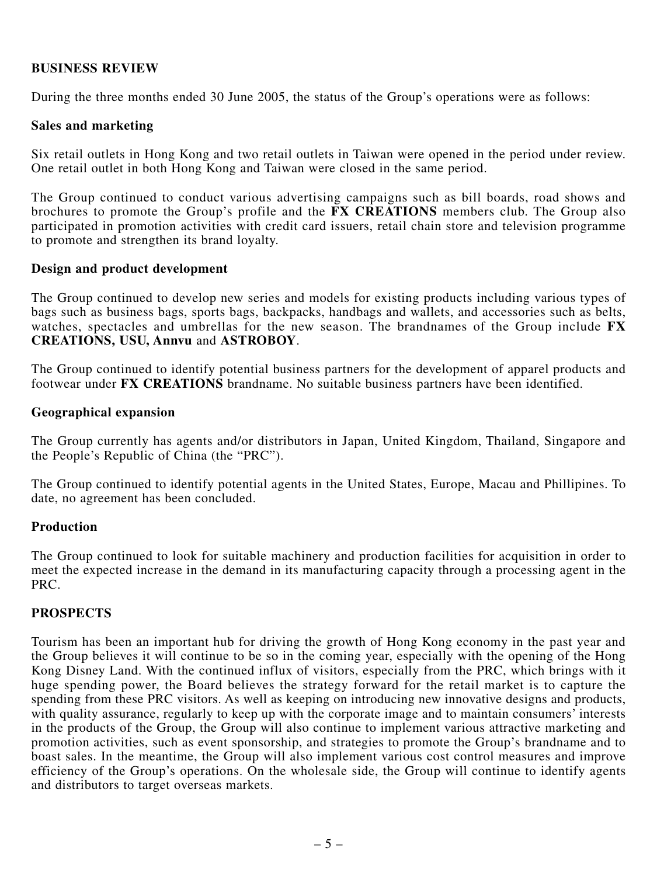## **BUSINESS REVIEW**

During the three months ended 30 June 2005, the status of the Group's operations were as follows:

### **Sales and marketing**

Six retail outlets in Hong Kong and two retail outlets in Taiwan were opened in the period under review. One retail outlet in both Hong Kong and Taiwan were closed in the same period.

The Group continued to conduct various advertising campaigns such as bill boards, road shows and brochures to promote the Group's profile and the **FX CREATIONS** members club. The Group also participated in promotion activities with credit card issuers, retail chain store and television programme to promote and strengthen its brand loyalty.

### **Design and product development**

The Group continued to develop new series and models for existing products including various types of bags such as business bags, sports bags, backpacks, handbags and wallets, and accessories such as belts, watches, spectacles and umbrellas for the new season. The brandnames of the Group include **FX CREATIONS, USU, Annvu** and **ASTROBOY**.

The Group continued to identify potential business partners for the development of apparel products and footwear under **FX CREATIONS** brandname. No suitable business partners have been identified.

### **Geographical expansion**

The Group currently has agents and/or distributors in Japan, United Kingdom, Thailand, Singapore and the People's Republic of China (the "PRC").

The Group continued to identify potential agents in the United States, Europe, Macau and Phillipines. To date, no agreement has been concluded.

### **Production**

The Group continued to look for suitable machinery and production facilities for acquisition in order to meet the expected increase in the demand in its manufacturing capacity through a processing agent in the PRC.

## **PROSPECTS**

Tourism has been an important hub for driving the growth of Hong Kong economy in the past year and the Group believes it will continue to be so in the coming year, especially with the opening of the Hong Kong Disney Land. With the continued influx of visitors, especially from the PRC, which brings with it huge spending power, the Board believes the strategy forward for the retail market is to capture the spending from these PRC visitors. As well as keeping on introducing new innovative designs and products, with quality assurance, regularly to keep up with the corporate image and to maintain consumers' interests in the products of the Group, the Group will also continue to implement various attractive marketing and promotion activities, such as event sponsorship, and strategies to promote the Group's brandname and to boast sales. In the meantime, the Group will also implement various cost control measures and improve efficiency of the Group's operations. On the wholesale side, the Group will continue to identify agents and distributors to target overseas markets.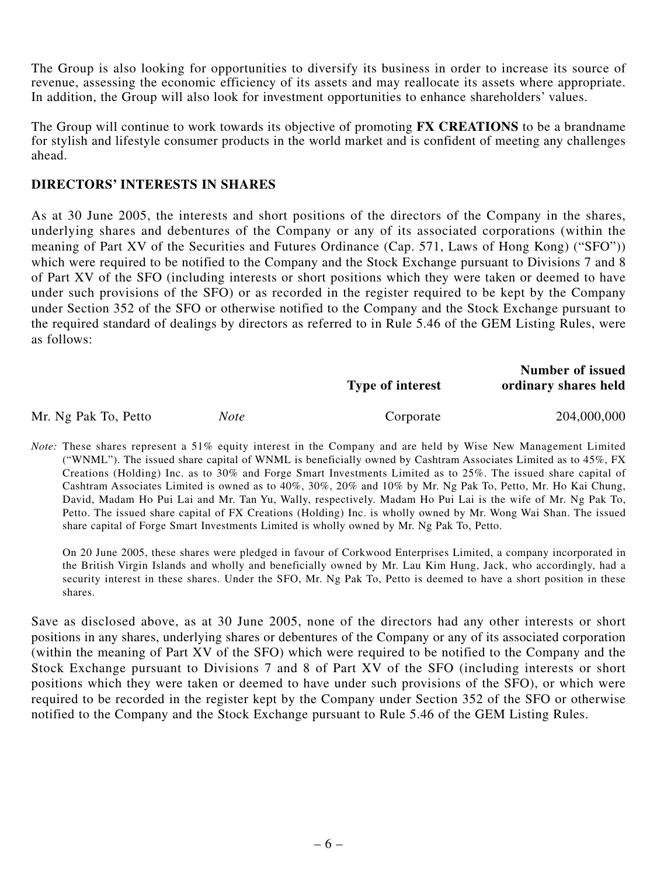The Group is also looking for opportunities to diversify its business in order to increase its source of revenue, assessing the economic efficiency of its assets and may reallocate its assets where appropriate. In addition, the Group will also look for investment opportunities to enhance shareholders' values.

The Group will continue to work towards its objective of promoting **FX CREATIONS** to be a brandname for stylish and lifestyle consumer products in the world market and is confident of meeting any challenges ahead.

## **DIRECTORS' INTERESTS IN SHARES**

As at 30 June 2005, the interests and short positions of the directors of the Company in the shares, underlying shares and debentures of the Company or any of its associated corporations (within the meaning of Part XV of the Securities and Futures Ordinance (Cap. 571, Laws of Hong Kong) ("SFO")) which were required to be notified to the Company and the Stock Exchange pursuant to Divisions 7 and 8 of Part XV of the SFO (including interests or short positions which they were taken or deemed to have under such provisions of the SFO) or as recorded in the register required to be kept by the Company under Section 352 of the SFO or otherwise notified to the Company and the Stock Exchange pursuant to the required standard of dealings by directors as referred to in Rule 5.46 of the GEM Listing Rules, were as follows:

|                      |      | <b>Type of interest</b> | <b>Number of issued</b><br>ordinary shares held |
|----------------------|------|-------------------------|-------------------------------------------------|
| Mr. Ng Pak To, Petto | Note | Corporate               | 204,000,000                                     |

*Note:* These shares represent a 51% equity interest in the Company and are held by Wise New Management Limited ("WNML"). The issued share capital of WNML is beneficially owned by Cashtram Associates Limited as to 45%, FX Creations (Holding) Inc. as to 30% and Forge Smart Investments Limited as to 25%. The issued share capital of Cashtram Associates Limited is owned as to 40%, 30%, 20% and 10% by Mr. Ng Pak To, Petto, Mr. Ho Kai Chung, David, Madam Ho Pui Lai and Mr. Tan Yu, Wally, respectively. Madam Ho Pui Lai is the wife of Mr. Ng Pak To, Petto. The issued share capital of FX Creations (Holding) Inc. is wholly owned by Mr. Wong Wai Shan. The issued share capital of Forge Smart Investments Limited is wholly owned by Mr. Ng Pak To, Petto.

On 20 June 2005, these shares were pledged in favour of Corkwood Enterprises Limited, a company incorporated in the British Virgin Islands and wholly and beneficially owned by Mr. Lau Kim Hung, Jack, who accordingly, had a security interest in these shares. Under the SFO, Mr. Ng Pak To, Petto is deemed to have a short position in these shares.

Save as disclosed above, as at 30 June 2005, none of the directors had any other interests or short positions in any shares, underlying shares or debentures of the Company or any of its associated corporation (within the meaning of Part XV of the SFO) which were required to be notified to the Company and the Stock Exchange pursuant to Divisions 7 and 8 of Part XV of the SFO (including interests or short positions which they were taken or deemed to have under such provisions of the SFO), or which were required to be recorded in the register kept by the Company under Section 352 of the SFO or otherwise notified to the Company and the Stock Exchange pursuant to Rule 5.46 of the GEM Listing Rules.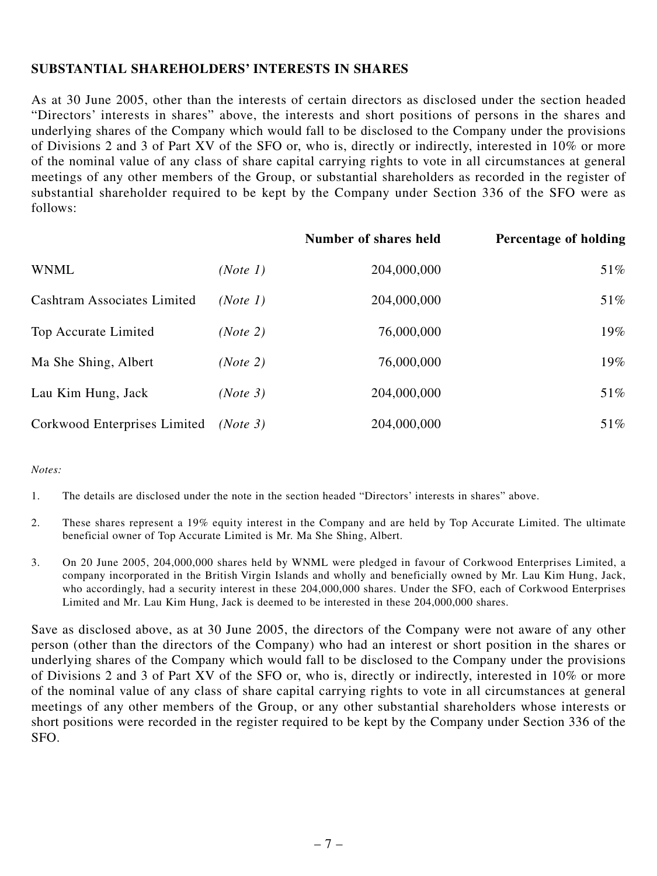## **SUBSTANTIAL SHAREHOLDERS' INTERESTS IN SHARES**

As at 30 June 2005, other than the interests of certain directors as disclosed under the section headed "Directors' interests in shares" above, the interests and short positions of persons in the shares and underlying shares of the Company which would fall to be disclosed to the Company under the provisions of Divisions 2 and 3 of Part XV of the SFO or, who is, directly or indirectly, interested in 10% or more of the nominal value of any class of share capital carrying rights to vote in all circumstances at general meetings of any other members of the Group, or substantial shareholders as recorded in the register of substantial shareholder required to be kept by the Company under Section 336 of the SFO were as follows:

|                                    |          | Number of shares held | <b>Percentage of holding</b> |
|------------------------------------|----------|-----------------------|------------------------------|
| <b>WNML</b>                        | (Note 1) | 204,000,000           | 51%                          |
| <b>Cashtram Associates Limited</b> | (Note 1) | 204,000,000           | 51%                          |
| Top Accurate Limited               | (Note 2) | 76,000,000            | 19%                          |
| Ma She Shing, Albert               | (Note 2) | 76,000,000            | 19%                          |
| Lau Kim Hung, Jack                 | (Note 3) | 204,000,000           | 51%                          |
| Corkwood Enterprises Limited       | (Note 3) | 204,000,000           | 51%                          |

### *Notes:*

1. The details are disclosed under the note in the section headed "Directors' interests in shares" above.

- 2. These shares represent a 19% equity interest in the Company and are held by Top Accurate Limited. The ultimate beneficial owner of Top Accurate Limited is Mr. Ma She Shing, Albert.
- 3. On 20 June 2005, 204,000,000 shares held by WNML were pledged in favour of Corkwood Enterprises Limited, a company incorporated in the British Virgin Islands and wholly and beneficially owned by Mr. Lau Kim Hung, Jack, who accordingly, had a security interest in these 204,000,000 shares. Under the SFO, each of Corkwood Enterprises Limited and Mr. Lau Kim Hung, Jack is deemed to be interested in these 204,000,000 shares.

Save as disclosed above, as at 30 June 2005, the directors of the Company were not aware of any other person (other than the directors of the Company) who had an interest or short position in the shares or underlying shares of the Company which would fall to be disclosed to the Company under the provisions of Divisions 2 and 3 of Part XV of the SFO or, who is, directly or indirectly, interested in 10% or more of the nominal value of any class of share capital carrying rights to vote in all circumstances at general meetings of any other members of the Group, or any other substantial shareholders whose interests or short positions were recorded in the register required to be kept by the Company under Section 336 of the SFO.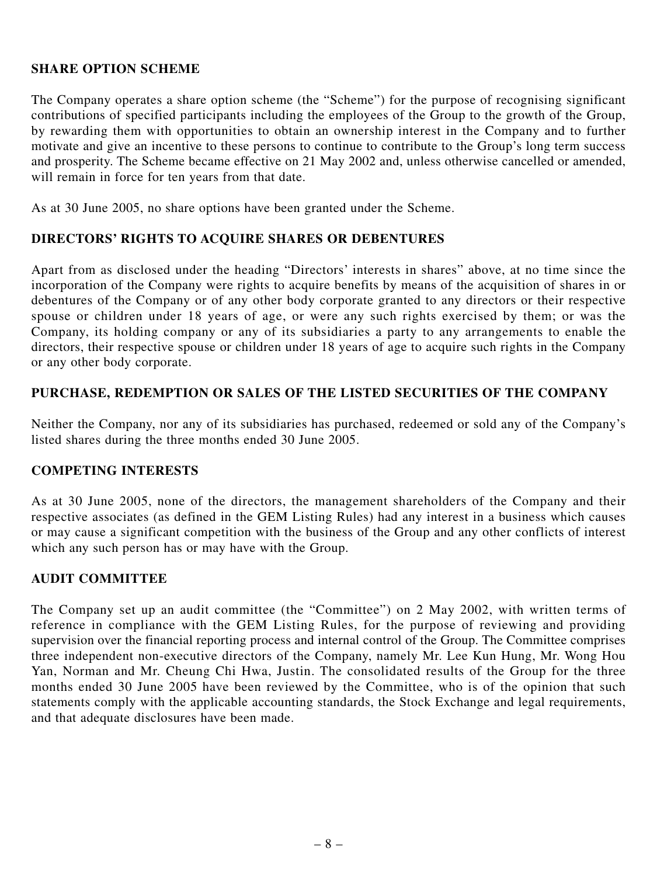## **SHARE OPTION SCHEME**

The Company operates a share option scheme (the "Scheme") for the purpose of recognising significant contributions of specified participants including the employees of the Group to the growth of the Group, by rewarding them with opportunities to obtain an ownership interest in the Company and to further motivate and give an incentive to these persons to continue to contribute to the Group's long term success and prosperity. The Scheme became effective on 21 May 2002 and, unless otherwise cancelled or amended, will remain in force for ten years from that date.

As at 30 June 2005, no share options have been granted under the Scheme.

## **DIRECTORS' RIGHTS TO ACQUIRE SHARES OR DEBENTURES**

Apart from as disclosed under the heading "Directors' interests in shares" above, at no time since the incorporation of the Company were rights to acquire benefits by means of the acquisition of shares in or debentures of the Company or of any other body corporate granted to any directors or their respective spouse or children under 18 years of age, or were any such rights exercised by them; or was the Company, its holding company or any of its subsidiaries a party to any arrangements to enable the directors, their respective spouse or children under 18 years of age to acquire such rights in the Company or any other body corporate.

## **PURCHASE, REDEMPTION OR SALES OF THE LISTED SECURITIES OF THE COMPANY**

Neither the Company, nor any of its subsidiaries has purchased, redeemed or sold any of the Company's listed shares during the three months ended 30 June 2005.

### **COMPETING INTERESTS**

As at 30 June 2005, none of the directors, the management shareholders of the Company and their respective associates (as defined in the GEM Listing Rules) had any interest in a business which causes or may cause a significant competition with the business of the Group and any other conflicts of interest which any such person has or may have with the Group.

## **AUDIT COMMITTEE**

The Company set up an audit committee (the "Committee") on 2 May 2002, with written terms of reference in compliance with the GEM Listing Rules, for the purpose of reviewing and providing supervision over the financial reporting process and internal control of the Group. The Committee comprises three independent non-executive directors of the Company, namely Mr. Lee Kun Hung, Mr. Wong Hou Yan, Norman and Mr. Cheung Chi Hwa, Justin. The consolidated results of the Group for the three months ended 30 June 2005 have been reviewed by the Committee, who is of the opinion that such statements comply with the applicable accounting standards, the Stock Exchange and legal requirements, and that adequate disclosures have been made.